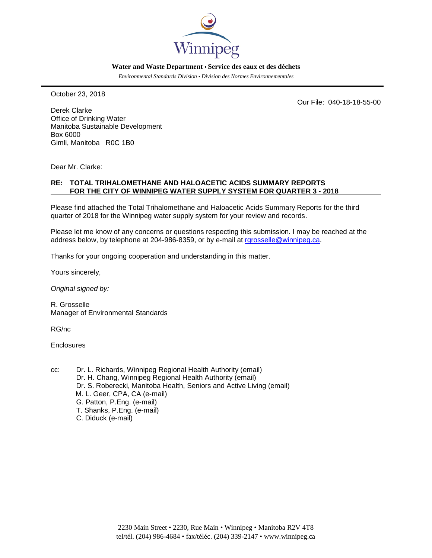

#### **Water and Waste Department • Service des eaux et des déchets**

*Environmental Standards Division • Division des Normes Environnementales*

October 23, 2018

Our File: 040-18-18-55-00

Derek Clarke Office of Drinking Water Manitoba Sustainable Development Box 6000 Gimli, Manitoba R0C 1B0

Dear Mr. Clarke:

### **RE: TOTAL TRIHALOMETHANE AND HALOACETIC ACIDS SUMMARY REPORTS FOR THE CITY OF WINNIPEG WATER SUPPLY SYSTEM FOR QUARTER 3 - 2018**

Please find attached the Total Trihalomethane and Haloacetic Acids Summary Reports for the third quarter of 2018 for the Winnipeg water supply system for your review and records.

Please let me know of any concerns or questions respecting this submission. I may be reached at the address below, by telephone at 204-986-8359, or by e-mail at rarosselle@winnipeg.ca.

Thanks for your ongoing cooperation and understanding in this matter.

Yours sincerely,

*Original signed by:*

R. Grosselle Manager of Environmental Standards

RG/nc

**Enclosures** 

- cc: Dr. L. Richards, Winnipeg Regional Health Authority (email) Dr. H. Chang, Winnipeg Regional Health Authority (email) Dr. S. Roberecki, Manitoba Health, Seniors and Active Living (email) M. L. Geer, CPA, CA (e-mail) G. Patton, P.Eng. (e-mail) T. Shanks, P.Eng. (e-mail)
	- C. Diduck (e-mail)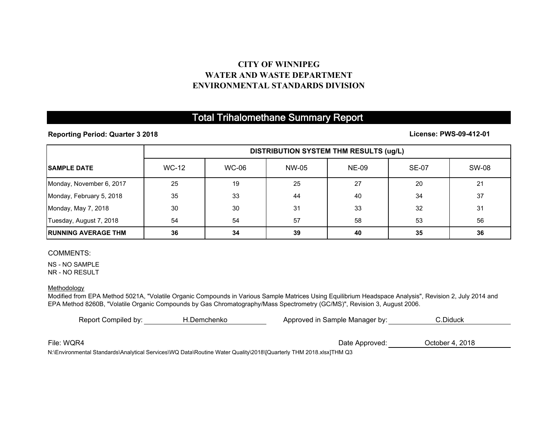## **CITY OF WINNIPEGWATER AND WASTE DEPARTMENTENVIRONMENTAL STANDARDS DIVISION**

# Total Trihalomethane Summary Report

**Reporting Period: Quarter 3 2018**

**License: PWS-09-412-01**

|                             | <b>DISTRIBUTION SYSTEM THM RESULTS (ug/L)</b> |              |       |              |              |              |
|-----------------------------|-----------------------------------------------|--------------|-------|--------------|--------------|--------------|
| <b>ISAMPLE DATE</b>         | <b>WC-12</b>                                  | <b>WC-06</b> | NW-05 | <b>NE-09</b> | <b>SE-07</b> | <b>SW-08</b> |
| Monday, November 6, 2017    | 25                                            | 19           | 25    | 27           | 20           | 21           |
| Monday, February 5, 2018    | 35                                            | 33           | 44    | 40           | 34           | 37           |
| Monday, May 7, 2018         | 30                                            | 30           | 31    | 33           | 32           | 31           |
| Tuesday, August 7, 2018     | 54                                            | 54           | 57    | 58           | 53           | 56           |
| <b>IRUNNING AVERAGE THM</b> | 36                                            | 34           | 39    | 40           | 35           | 36           |

#### COMMENTS:

NS - NO SAMPLENR - NO RESULT

**Methodology** 

Modified from EPA Method 5021A, "Volatile Organic Compounds in Various Sample Matrices Using Equilibrium Headspace Analysis", Revision 2, July 2014 and EPA Method 8260B, "Volatile Organic Compounds by Gas Chromatography/Mass Spectrometry (GC/MS)", Revision 3, August 2006.

| Report Compiled by: | H.Demchenko | Approved in Sample Manager by: | C.Diduck        |  |
|---------------------|-------------|--------------------------------|-----------------|--|
|                     |             |                                |                 |  |
| File: WQR4          |             | Date Approved:                 | October 4, 2018 |  |

N:\Environmental Standards\Analytical Services\WQ Data\Routine Water Quality\2018\[Quarterly THM 2018.xlsx]THM Q3